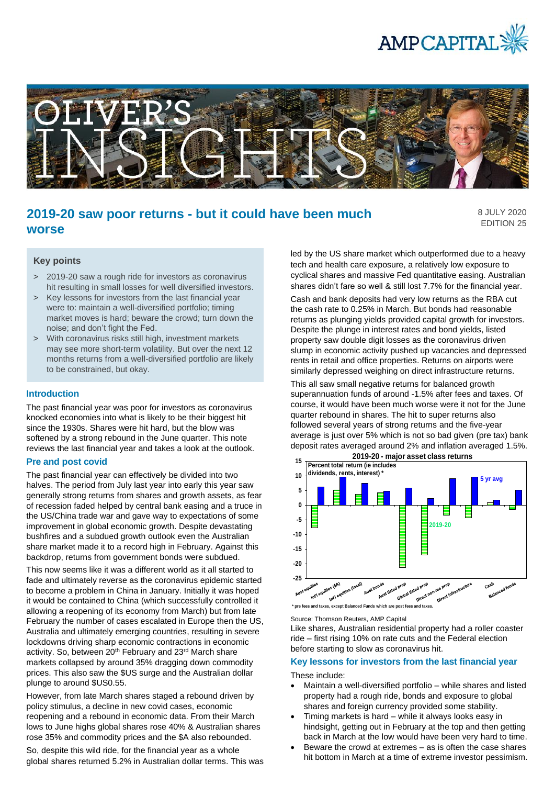



# **2019-20 saw poor returns - but it could have been much worse**

8 JULY 2020 EDITION 25

## **Key points**

- > 2019-20 saw a rough ride for investors as coronavirus hit resulting in small losses for well diversified investors.
- > Key lessons for investors from the last financial year were to: maintain a well-diversified portfolio; timing market moves is hard; beware the crowd; turn down the noise; and don't fight the Fed.
- > With coronavirus risks still high, investment markets may see more short-term volatility. But over the next 12 months returns from a well-diversified portfolio are likely to be constrained, but okay.

#### **Introduction**

The past financial year was poor for investors as coronavirus knocked economies into what is likely to be their biggest hit since the 1930s. Shares were hit hard, but the blow was softened by a strong rebound in the June quarter. This note reviews the last financial year and takes a look at the outlook.

### **Pre and post covid**

The past financial year can effectively be divided into two halves. The period from July last year into early this year saw generally strong returns from shares and growth assets, as fear of recession faded helped by central bank easing and a truce in the US/China trade war and gave way to expectations of some improvement in global economic growth. Despite devastating bushfires and a subdued growth outlook even the Australian share market made it to a record high in February. Against this backdrop, returns from government bonds were subdued.

This now seems like it was a different world as it all started to fade and ultimately reverse as the coronavirus epidemic started to become a problem in China in January. Initially it was hoped it would be contained to China (which successfully controlled it allowing a reopening of its economy from March) but from late February the number of cases escalated in Europe then the US, Australia and ultimately emerging countries, resulting in severe lockdowns driving sharp economic contractions in economic activity. So, between 20<sup>th</sup> February and 23<sup>rd</sup> March share markets collapsed by around 35% dragging down commodity prices. This also saw the \$US surge and the Australian dollar plunge to around \$US0.55.

However, from late March shares staged a rebound driven by policy stimulus, a decline in new covid cases, economic reopening and a rebound in economic data. From their March lows to June highs global shares rose 40% & Australian shares rose 35% and commodity prices and the \$A also rebounded.

So, despite this wild ride, for the financial year as a whole global shares returned 5.2% in Australian dollar terms. This was led by the US share market which outperformed due to a heavy tech and health care exposure, a relatively low exposure to cyclical shares and massive Fed quantitative easing. Australian shares didn't fare so well & still lost 7.7% for the financial year. Cash and bank deposits had very low returns as the RBA cut the cash rate to 0.25% in March. But bonds had reasonable returns as plunging yields provided capital growth for investors. Despite the plunge in interest rates and bond yields, listed property saw double digit losses as the coronavirus driven slump in economic activity pushed up vacancies and depressed rents in retail and office properties. Returns on airports were similarly depressed weighing on direct infrastructure returns.

This all saw small negative returns for balanced growth superannuation funds of around -1.5% after fees and taxes. Of course, it would have been much worse were it not for the June quarter rebound in shares. The hit to super returns also followed several years of strong returns and the five-year average is just over 5% which is not so bad given (pre tax) bank deposit rates averaged around 2% and inflation averaged 1.5%.



**\* pre fees and taxes, except Balanced Funds which are post fees and taxes.** 

Source: Thomson Reuters, AMP Capital

Like shares, Australian residential property had a roller coaster ride – first rising 10% on rate cuts and the Federal election before starting to slow as coronavirus hit.

#### **Key lessons for investors from the last financial year**

These include:

- Maintain a well-diversified portfolio while shares and listed property had a rough ride, bonds and exposure to global shares and foreign currency provided some stability.
- Timing markets is hard while it always looks easy in hindsight, getting out in February at the top and then getting back in March at the low would have been very hard to time.
- Beware the crowd at extremes as is often the case shares hit bottom in March at a time of extreme investor pessimism.